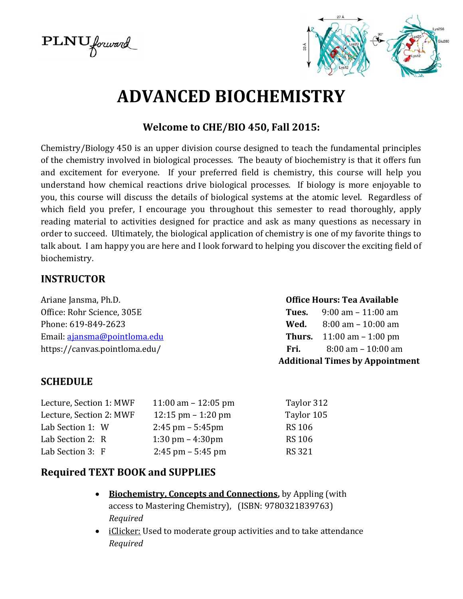$\text{PLNU}$  forward



# **ADVANCED BIOCHEMISTRY**

#### **Welcome to CHE/BIO 450, Fall 2015:**

Chemistry/Biology 450 is an upper division course designed to teach the fundamental principles of the chemistry involved in biological processes. The beauty of biochemistry is that it offers fun and excitement for everyone. If your preferred field is chemistry, this course will help you understand how chemical reactions drive biological processes. If biology is more enjoyable to you, this course will discuss the details of biological systems at the atomic level. Regardless of which field you prefer, I encourage you throughout this semester to read thoroughly, apply reading material to activities designed for practice and ask as many questions as necessary in order to succeed. Ultimately, the biological application of chemistry is one of my favorite things to talk about. I am happy you are here and I look forward to helping you discover the exciting field of biochemistry.

#### **INSTRUCTOR**

Ariane Jansma, Ph.D. **Office Hours: Tea Available** Office: Rohr Science, 305E **Tues.** 9:00 am – 11:00 am Phone: 619-849-2623 **Wed.** 8:00 am – 10:00 am Email: [ajansma@pointloma.edu](mailto:ajansma@pointloma.edu) **Thurs.** 11:00 am – 1:00 pm https://canvas.pointloma.edu/ **Fri.** 8:00 am – 10:00 am

**Additional Times by Appointment**

#### **SCHEDULE**

| Lecture, Section 1: MWF | 11:00 am $-$ 12:05 pm                | Taylor 312    |
|-------------------------|--------------------------------------|---------------|
| Lecture, Section 2: MWF | $12:15 \text{ pm} - 1:20 \text{ pm}$ | Taylor 105    |
| Lab Section 1: W        | $2:45$ pm $-5:45$ pm                 | <b>RS 106</b> |
| Lab Section 2: R        | $1:30 \text{ pm} - 4:30 \text{pm}$   | <b>RS 106</b> |
| Lab Section 3: F        | $2:45$ pm $-5:45$ pm                 | <b>RS 321</b> |

#### **Required TEXT BOOK and SUPPLIES**

- **Biochemistry, Concepts and Connections,** by Appling (with access to Mastering Chemistry), (ISBN: 9780321839763) *Required*
- iClicker: Used to moderate group activities and to take attendance *Required*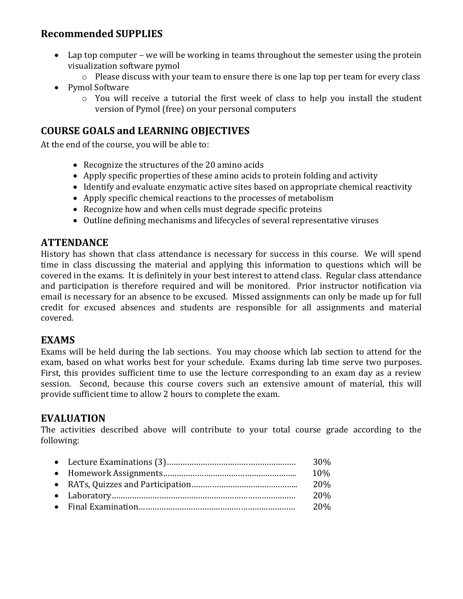#### **Recommended SUPPLIES**

- Lap top computer we will be working in teams throughout the semester using the protein visualization software pymol
	- o Please discuss with your team to ensure there is one lap top per team for every class
- Pymol Software
	- o You will receive a tutorial the first week of class to help you install the student version of Pymol (free) on your personal computers

### **COURSE GOALS and LEARNING OBJECTIVES**

At the end of the course, you will be able to:

- Recognize the structures of the 20 amino acids
- Apply specific properties of these amino acids to protein folding and activity
- Identify and evaluate enzymatic active sites based on appropriate chemical reactivity
- Apply specific chemical reactions to the processes of metabolism
- Recognize how and when cells must degrade specific proteins
- Outline defining mechanisms and lifecycles of several representative viruses

#### **ATTENDANCE**

History has shown that class attendance is necessary for success in this course. We will spend time in class discussing the material and applying this information to questions which will be covered in the exams. It is definitely in your best interest to attend class. Regular class attendance and participation is therefore required and will be monitored. Prior instructor notification via email is necessary for an absence to be excused. Missed assignments can only be made up for full credit for excused absences and students are responsible for all assignments and material covered.

#### **EXAMS**

Exams will be held during the lab sections. You may choose which lab section to attend for the exam, based on what works best for your schedule. Exams during lab time serve two purposes. First, this provides sufficient time to use the lecture corresponding to an exam day as a review session. Second, because this course covers such an extensive amount of material, this will provide sufficient time to allow 2 hours to complete the exam.

#### **EVALUATION**

The activities described above will contribute to your total course grade according to the following:

|  | 30% |
|--|-----|
|  | 10% |
|  | 20% |
|  | 20% |
|  | 20% |
|  |     |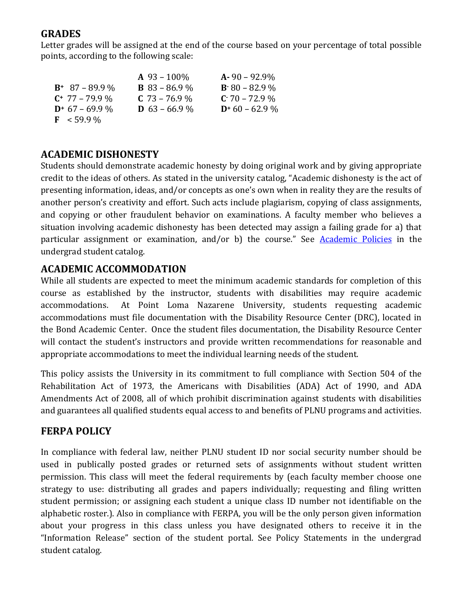#### **GRADES**

Letter grades will be assigned at the end of the course based on your percentage of total possible points, according to the following scale:

|                       | $A\,93-100\%$        | $A - 90 - 92.9\%$ |
|-----------------------|----------------------|-------------------|
| $B^+$ 87 – 89.9 %     | <b>B</b> 83 – 86.9 % | $B.80 - 82.9$ %   |
| $C^+$ 77 – 79.9 %     | $C$ 73 – 76.9 %      | $C: 70 - 72.9\%$  |
| $D^*$ 67 – 69.9 %     | <b>D</b> 63 – 66.9 % | $D+60-62.9\%$     |
| $\mathbf{F}$ < 59.9 % |                      |                   |

#### **ACADEMIC DISHONESTY**

Students should demonstrate academic honesty by doing original work and by giving appropriate credit to the ideas of others. As stated in the university catalog, "Academic dishonesty is the act of presenting information, ideas, and/or concepts as one's own when in reality they are the results of another person's creativity and effort. Such acts include plagiarism, copying of class assignments, and copying or other fraudulent behavior on examinations. A faculty member who believes a situation involving academic dishonesty has been detected may assign a failing grade for a) that particular assignment or examination, and/or b) the course." See [Academic Policies](http://www.pointloma.edu/experience/academics/catalogs/undergraduate-catalog/point-loma-education/academic-policies) in the undergrad student catalog.

#### **ACADEMIC ACCOMMODATION**

While all students are expected to meet the minimum academic standards for completion of this course as established by the instructor, students with disabilities may require academic accommodations. At Point Loma Nazarene University, students requesting academic accommodations must file documentation with the Disability Resource Center (DRC), located in the Bond Academic Center. Once the student files documentation, the Disability Resource Center will contact the student's instructors and provide written recommendations for reasonable and appropriate accommodations to meet the individual learning needs of the student.

This policy assists the University in its commitment to full compliance with Section 504 of the Rehabilitation Act of 1973, the Americans with Disabilities (ADA) Act of 1990, and ADA Amendments Act of 2008, all of which prohibit discrimination against students with disabilities and guarantees all qualified students equal access to and benefits of PLNU programs and activities.

#### **FERPA POLICY**

In compliance with federal law, neither PLNU student ID nor social security number should be used in publically posted grades or returned sets of assignments without student written permission. This class will meet the federal requirements by (each faculty member choose one strategy to use: distributing all grades and papers individually; requesting and filing written student permission; or assigning each student a unique class ID number not identifiable on the alphabetic roster.). Also in compliance with FERPA, you will be the only person given information about your progress in this class unless you have designated others to receive it in the "Information Release" section of the student portal. See Policy Statements in the undergrad student catalog.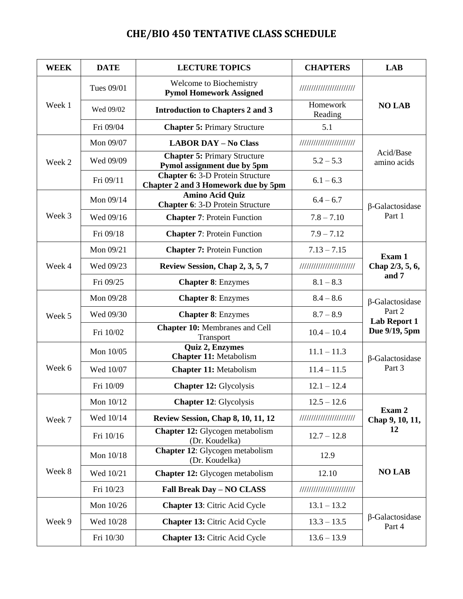## **CHE/BIO 450 TENTATIVE CLASS SCHEDULE**

| <b>WEEK</b> | <b>DATE</b> | <b>LECTURE TOPICS</b>                                                          | <b>CHAPTERS</b>          | <b>LAB</b>                                                        |
|-------------|-------------|--------------------------------------------------------------------------------|--------------------------|-------------------------------------------------------------------|
| Week 1      | Tues 09/01  | Welcome to Biochemistry<br><b>Pymol Homework Assigned</b>                      | //////////////////////// | <b>NO LAB</b>                                                     |
|             | Wed 09/02   | <b>Introduction to Chapters 2 and 3</b>                                        | Homework<br>Reading      |                                                                   |
|             | Fri 09/04   | <b>Chapter 5: Primary Structure</b>                                            | 5.1                      |                                                                   |
| Week 2      | Mon 09/07   | <b>LABOR DAY - No Class</b>                                                    |                          | Acid/Base<br>amino acids                                          |
|             | Wed 09/09   | <b>Chapter 5: Primary Structure</b><br>Pymol assignment due by 5pm             | $5.2 - 5.3$              |                                                                   |
|             | Fri 09/11   | <b>Chapter 6: 3-D Protein Structure</b><br>Chapter 2 and 3 Homework due by 5pm | $6.1 - 6.3$              |                                                                   |
|             | Mon $09/14$ | <b>Amino Acid Quiz</b><br><b>Chapter 6: 3-D Protein Structure</b>              | $6.4 - 6.7$              | $\beta$ -Galactosidase                                            |
| Week 3      | Wed 09/16   | <b>Chapter 7: Protein Function</b>                                             | $7.8 - 7.10$             | Part 1                                                            |
|             | Fri 09/18   | <b>Chapter 7: Protein Function</b>                                             | $7.9 - 7.12$             |                                                                   |
|             | Mon 09/21   | <b>Chapter 7: Protein Function</b>                                             | $7.13 - 7.15$            | Exam 1                                                            |
| Week 4      | Wed 09/23   | Review Session, Chap 2, 3, 5, 7                                                | //////////////////////// | Chap 2/3, 5, 6,<br>and 7                                          |
|             | Fri 09/25   | <b>Chapter 8: Enzymes</b>                                                      | $8.1 - 8.3$              |                                                                   |
|             | Mon 09/28   | <b>Chapter 8: Enzymes</b>                                                      | $8.4 - 8.6$              | $\beta$ -Galactosidase<br>Part 2<br>Lab Report 1<br>Due 9/19, 5pm |
| Week 5      | Wed 09/30   | <b>Chapter 8: Enzymes</b>                                                      | $8.7 - 8.9$              |                                                                   |
|             | Fri 10/02   | <b>Chapter 10: Membranes and Cell</b><br>Transport                             | $10.4 - 10.4$            |                                                                   |
|             | Mon 10/05   | Quiz 2, Enzymes<br><b>Chapter 11: Metabolism</b>                               | $11.1 - 11.3$            | $\beta$ -Galactosidase<br>Part 3                                  |
| Week 6      | Wed 10/07   | <b>Chapter 11: Metabolism</b>                                                  | $11.4 - 11.5$            |                                                                   |
|             | Fri 10/09   | <b>Chapter 12: Glycolysis</b>                                                  | $12.1 - 12.4$            |                                                                   |
|             | Mon 10/12   | <b>Chapter 12: Glycolysis</b>                                                  | $12.5 - 12.6$            |                                                                   |
| Week 7      | Wed 10/14   | <b>Review Session, Chap 8, 10, 11, 12</b>                                      | //////////////////////// | Exam 2<br>Chap 9, 10, 11,<br>12                                   |
|             | Fri 10/16   | <b>Chapter 12:</b> Glycogen metabolism<br>(Dr. Koudelka)                       | $12.7 - 12.8$            |                                                                   |
| Week 8      | Mon 10/18   | Chapter 12: Glycogen metabolism<br>(Dr. Koudelka)                              | 12.9                     |                                                                   |
|             | Wed 10/21   | <b>Chapter 12:</b> Glycogen metabolism                                         | 12.10                    | <b>NO LAB</b>                                                     |
|             | Fri 10/23   | Fall Break Day - NO CLASS                                                      | //////////////////////// |                                                                   |
| Week 9      | Mon 10/26   | <b>Chapter 13:</b> Citric Acid Cycle                                           | $13.1 - 13.2$            | $\beta$ -Galactosidase<br>Part 4                                  |
|             | Wed 10/28   | <b>Chapter 13: Citric Acid Cycle</b>                                           | $13.3 - 13.5$            |                                                                   |
|             | Fri 10/30   | <b>Chapter 13: Citric Acid Cycle</b>                                           | $13.6 - 13.9$            |                                                                   |